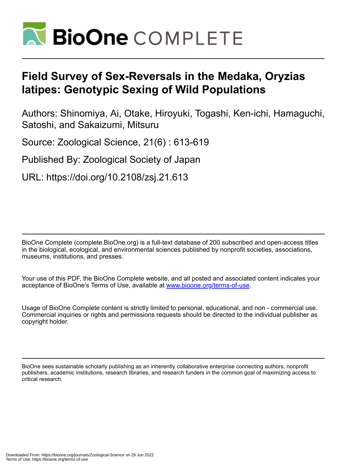

# **Field Survey of Sex-Reversals in the Medaka, Oryzias latipes: Genotypic Sexing of Wild Populations**

Authors: Shinomiya, Ai, Otake, Hiroyuki, Togashi, Ken-ichi, Hamaguchi, Satoshi, and Sakaizumi, Mitsuru

Source: Zoological Science, 21(6) : 613-619

Published By: Zoological Society of Japan

URL: https://doi.org/10.2108/zsj.21.613

BioOne Complete (complete.BioOne.org) is a full-text database of 200 subscribed and open-access titles in the biological, ecological, and environmental sciences published by nonprofit societies, associations, museums, institutions, and presses.

Your use of this PDF, the BioOne Complete website, and all posted and associated content indicates your acceptance of BioOne's Terms of Use, available at www.bioone.org/terms-of-use.

Usage of BioOne Complete content is strictly limited to personal, educational, and non - commercial use. Commercial inquiries or rights and permissions requests should be directed to the individual publisher as copyright holder.

BioOne sees sustainable scholarly publishing as an inherently collaborative enterprise connecting authors, nonprofit publishers, academic institutions, research libraries, and research funders in the common goal of maximizing access to critical research.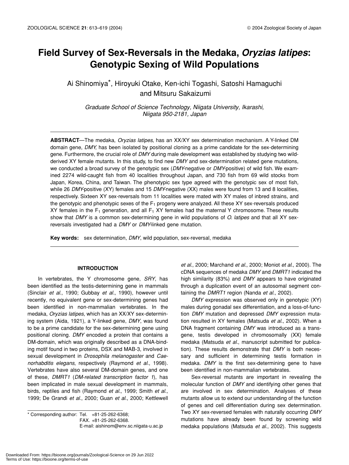# **Field Survey of Sex-Reversals in the Medaka,** *Oryzias latipes***: Genotypic Sexing of Wild Populations**

Ai Shinomiya\*, Hiroyuki Otake, Ken-ichi Togashi, Satoshi Hamaguchi and Mitsuru Sakaizumi

*Graduate School of Science Technology, Niigata University, Ikarashi, Niigata 950-2181, Japan*

**ABSTRACT**—The medaka, *Oryzias latipes*, has an XX/XY sex determination mechanism. A Y-linked DM domain gene, *DMY*, has been isolated by positional cloning as a prime candidate for the sex-determining gene. Furthermore, the crucial role of *DMY* during male development was established by studying two wildderived XY female mutants. In this study, to find new *DMY* and sex-determination related gene mutations, we conducted a broad survey of the genotypic sex (*DMY*-negative or *DMY*-positive) of wild fish. We examined 2274 wild-caught fish from 40 localities throughout Japan, and 730 fish from 69 wild stocks from Japan, Korea, China, and Taiwan. The phenotypic sex type agreed with the genotypic sex of most fish, while 26 *DMY*-positive (XY) females and 15 *DMY*-negative (XX) males were found from 13 and 8 localities, respectively. Sixteen XY sex-reversals from 11 localities were mated with XY males of inbred strains, and the genotypic and phenotypic sexes of the  $F_1$  progeny were analyzed. All these XY sex-reversals produced XY females in the  $F_1$  generation, and all  $F_1$  XY females had the maternal Y chromosome. These results show that *DMY* is a common sex-determining gene in wild populations of *O. latipes* and that all XY sexreversals investigated had a *DMY* or *DMY-*linked gene mutation.

**Key words:** sex determination, *DMY*, wild population, sex-reversal, medaka

## **INTRODUCTION**

In vertebrates, the Y chromosome gene, *SRY*, has been identified as the testis-determining gene in mammals (Sinclair *et al*., 1990; Gubbay *et al.*, 1990), however until recently, no equivalent gene or sex-determining genes had been identified in non-mammalian vertebrates. In the medaka, *Oryzias latipes*, which has an XX/XY sex-determining system (Aida, 1921), a Y-linked gene, *DMY*, was found to be a prime candidate for the sex-determining gene using positional cloning. *DMY* encoded a protein that contains a DM-domain, which was originally described as a DNA-binding motif found in two proteins, DSX and MAB-3, involved in sexual development in *Drosophila melanogaster* and *Caenorhabditis elegans*, respectively (Raymond *et al*., 1998). Vertebrates have also several DM-domain genes, and one of these, *DMRT1* (*DM-related transcription factor 1*), has been implicated in male sexual development in mammals, birds, reptiles and fish (Raymond *et al*., 1999; Smith *et al*., 1999; De Grandi *et al*., 2000; Guan *et al*., 2000; Kettlewell

 $*$  Corresponding author: Tel.  $+81-25-262-6368$ ; FAX. +81-25-262-6368. E-mail: aishinom@env.sc.niigata-u.ac.jp

*et al*., 2000; Marchand *et al*., 2000; Moniot *et al*., 2000). The cDNA sequences of medaka *DMY* and *DMRT1* indicated the high similarity (83%) and *DMY* appears to have originated through a duplication event of an autosomal segment containing the *DMRT1* region (Nanda *et al*., 2002).

*DMY* expression was observed only in genotypic (XY) males during gonadal sex differentiation, and a loss-of-function *DMY* mutation and depressed *DMY* expression mutation resulted in XY females (Matsuda *et al*., 2002). When a DNA fragment containing *DMY* was introduced as a transgene, testis developed in chromosomally (XX) female medaka (Matsuda *et al*., manuscript submitted for publication). These results demonstrate that *DMY* is both necessary and sufficient in determining testis formation in medaka. *DMY* is the first sex-determining gene to have been identified in non-mammalian vertebrates.

Sex-reversal mutants are important in revealing the molecular function of *DMY* and identifying other genes that are involved in sex determination. Analyses of these mutants allow us to extend our understanding of the function of genes and cell differentiation during sex determination. Two XY sex-reversed females with naturally occurring *DMY* mutations have already been found by screening wild medaka populations (Matsuda *et al*., 2002). This suggests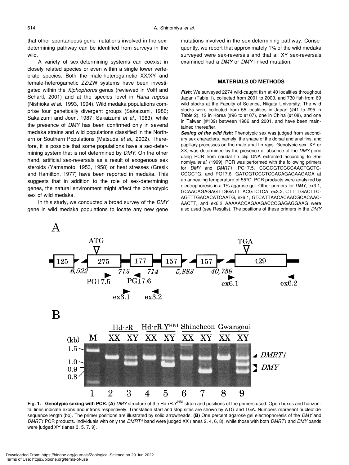that other spontaneous gene mutations involved in the sexdetermining pathway can be identified from surveys in the wild.

A variety of sex-determining systems can coexist in closely related species or even within a single lower vertebrate species. Both the male-heterogametic XX/XY and female-heterogametic ZZ/ZW systems have been investigated within the *Xiphophorus* genus (reviewed in Volff and Schartl, 2001) and at the species level in *Rana rugosa* (Nishioka *et al*., 1993, 1994). Wild medaka populations comprise four genetically divergent groups (Sakaizumi, 1986; Sakaizumi and Joen, 1987; Sakaizumi *et al*., 1983), while the presence of *DMY* has been confirmed only in several medaka strains and wild populations classified in the Northern or Southern Populations (Matsuda *et al*., 2002). Therefore, it is possible that some populations have a sex-determining system that is not determined by *DMY*. On the other hand, artificial sex-reversals as a result of exogenous sex steroids (Yamamoto, 1953, 1958) or heat stresses (Gresik and Hamilton, 1977) have been reported in medaka. This suggests that in addition to the role of sex-determining genes, the natural environment might affect the phenotypic sex of wild medaka.

In this study, we conducted a broad survey of the *DMY* gene in wild medaka populations to locate any new gene

mutations involved in the sex-determining pathway. Consequently, we report that approximately 1% of the wild medaka surveyed were sex-reversals and that all XY sex-reversals examined had a *DMY* or *DMY*-linked mutation.

#### **MATERIALS 0D METHODS**

Fish: We surveyed 2274 wild-caught fish at 40 localities throughout Japan (Table 1), collected from 2001 to 2003, and 730 fish from 69 wild stocks at the Faculty of Science, Niigata University. The wild stocks were collected from 55 localities in Japan (#41 to #95 in Table 2), 12 in Korea (#96 to #107), one in China (#108), and one in Taiwan (#109) between 1986 and 2001, and have been maintained thereafter.

*Sexing of the wild fish:* Phenotypic sex was judged from secondary sex characters, namely, the shape of the dorsal and anal fins, and papillary processes on the male anal fin rays. Genotypic sex, XY or XX, was determined by the presence or absence of the *DMY* gene using PCR from caudal fin clip DNA extracted according to Shinomiya *et al*. (1999). PCR was performed with the following primers for *DMY* and *DMRT1*: PG17.5, CCGGGTGCCCAAGTGCTC-CCGCTG, and PG17.6, GATCGTCCCTCCACAGAGAAGAGA at an annealing temperature of 55°C. PCR products were analyzed by electrophoresis in a 1% agarose gel. Other primers for *DMY*, ex3.1, GCAACAGAGAGTTGGATTTACGTCTCA, ex3.2, CTTTTGACTTC-AGTTTGACACATCAATG, ex6.1, GTCATTAACACAACGCACAAC-AACTT, and ex6.2 AAAAACCAGAAGACCCGAGAGGAAG were also used (see Results). The positions of these primers in the *DMY*



Fig. 1. Genotypic sexing with PCR. (A) *DMY* structure of the Hd-rR.Y<sup>HNI</sup> strain and positions of the primers used. Open boxes and horizontal lines indicate exons and introns respectively. Translation start and stop sites are shown by ATG and TGA. Numbers represent nucleotide sequence length (bp). The primer positions are illustrated by solid arrowheads. **(B)** One percent agarose gel electrophoresis of the *DMY* and *DMRT1* PCR products. Individuals with only the *DMRT1* band were judged XX (lanes 2, 4, 6, 8), while those with both *DMRT1* and *DMY* bands were judged XY (lanes 3, 5, 7, 9).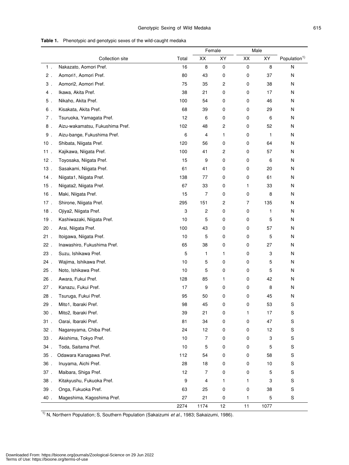|        |                                 |                  | Female         |                         | Male           |      |                          |
|--------|---------------------------------|------------------|----------------|-------------------------|----------------|------|--------------------------|
|        | Collection site                 | Total            | XX             | XY                      | XX             | XY   | Population <sup>1)</sup> |
| $1$ .  | Nakazato, Aomori Pref.          | 16               | 8              | 0                       | 0              | 8    | N                        |
| $2$ .  | Aomori1, Aomori Pref.           | 80               | 43             | 0                       | $\mathsf 0$    | 37   | N                        |
| $3$ .  | Aomori2, Aomori Pref.           | 75               | 35             | 2                       | 0              | 38   | N                        |
| 4.     | Ikawa, Akita Pref.              | 38               | 21             | 0                       | $\mathsf 0$    | 17   | N                        |
| $5$ .  | Nikaho, Akita Pref.             | 100              | 54             | 0                       | 0              | 46   | N                        |
| 6.     | Kisakata, Akita Pref.           | 68               | 39             | 0                       | 0              | 29   | N                        |
| $7$ .  | Tsuruoka, Yamagata Pref.        | 12               | 6              | 0                       | $\mathsf 0$    | 6    | N                        |
| $8$ .  | Aizu-wakamatsu, Fukushima Pref. | 102              | 48             | 2                       | 0              | 52   | N                        |
| $9$ .  | Aizu-bange, Fukushima Pref.     | 6                | $\overline{4}$ | 1                       | $\mathsf 0$    | 1    | N                        |
| $10$ . | Shibata, Niigata Pref.          | 120              | 56             | 0                       | 0              | 64   | N                        |
| 11.    | Kajikawa, Niigata Pref.         | 100              | 41             | $\overline{\mathbf{c}}$ | 0              | 57   | N                        |
| $12$ . | Toyosaka, Niigata Pref.         | 15               | 9              | 0                       | 0              | 6    | N                        |
| $13$ . | Sasakami, Niigata Pref.         | 61               | 41             | 0                       | 0              | 20   | N                        |
| 14.    | Niigata1, Niigata Pref.         | 138              | 77             | 0                       | 0              | 61   | N                        |
| $15$ . | Niigata2, Niigata Pref.         | 67               | 33             | 0                       | 1              | 33   | N                        |
| $16$ . | Maki, Niigata Pref.             | 15               | $\overline{7}$ | 0                       | $\mathsf 0$    | 8    | Ν                        |
| 17.    | Shirone, Niigata Pref.          | 295              | 151            | 2                       | $\overline{7}$ | 135  | N                        |
| $18$ . | Ojiya2, Niigata Pref.           | 3                | $\sqrt{2}$     | 0                       | 0              | 1    | Ν                        |
| 19.    | Kashiwazaki, Niigata Pref.      | 10               | 5              | 0                       | 0              | 5    | N                        |
| $20$ . | Arai, Niigata Pref.             | 100              | 43             | 0                       | 0              | 57   | N                        |
| 21.    | Itoigawa, Niigata Pref.         | 10               | 5              | 0                       | 0              | 5    | N                        |
| $22$ . | Inawashiro, Fukushima Pref.     | 65               | 38             | 0                       | 0              | 27   | N                        |
| 23.    | Suzu, Ishikawa Pref.            | 5                | 1              | 1                       | 0              | 3    | N                        |
| 24.    | Wajima, Ishikawa Pref.          | 10               | 5              | 0                       | 0              | 5    | N                        |
| $25$ . | Noto, Ishikawa Pref.            | 10               | 5              | 0                       | 0              | 5    | N                        |
| $26$ . | Awara, Fukui Pref.              | 128              | 85             | 1                       | 0              | 42   | N                        |
| $27$ . | Kanazu, Fukui Pref.             | 17               | 9              | 0                       | 0              | 8    | N                        |
| $28$ . | Tsuruga, Fukui Pref.            | 95               | 50             | 0                       | $\mathsf 0$    | 45   | N                        |
| 29.    | Mito1, Ibaraki Pref.            | 98               | 45             | 0                       | 0              | 53   | S                        |
| 30.    | Mito2, Ibaraki Pref.            | 39               | 21             | 0                       | $\mathbf{1}$   | 17   | S                        |
| $31$ . | Oarai, Ibaraki Pref.            | 81               | 34             | 0                       | $\mathsf 0$    | 47   | S                        |
| $32$ . | Nagareyama, Chiba Pref.         | 24               | 12             | 0                       | 0              | 12   | S                        |
| $33$ . | Akishima, Tokyo Pref.           | 10               | $\overline{7}$ | 0                       | $\mathsf 0$    | 3    | S                        |
| 34.    | Toda, Saitama Pref.             | 10               | 5              | 0                       | 0              | 5    | S                        |
| $35$ . | Odawara Kanagawa Pref.          | 112              | 54             | 0                       | $\pmb{0}$      | 58   | S                        |
| 36.    | Inuyama, Aichi Pref.            | 28               | 18             | 0                       | 0              | 10   | S                        |
| $37$ . | Maibara, Shiga Pref.            | 12               | $\overline{7}$ | 0                       | 0              | 5    | S                        |
| $38$ . | Kitakyushu, Fukuoka Pref.       | $\boldsymbol{9}$ | $\overline{4}$ | 1                       | 1              | 3    | $\mathbb S$              |
| 39.    | Onga, Fukuoka Pref.             | 63               | 25             | 0                       | $\mathsf 0$    | 38   | S                        |
| 40.    | Mageshima, Kagoshima Pref.      | 27               | 21             | 0                       | 1              | 5    | S                        |
|        |                                 | 2274             | 1174           | 12                      | 11             | 1077 |                          |

1) N, Northern Population; S, Southern Population (Sakaizumi *et al.*, 1983; Sakaizumi, 1986).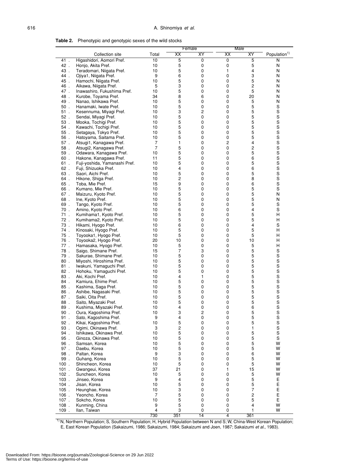| i | e v     |
|---|---------|
| ٠ | ×<br>۰. |

| Table 2. |  |  | Phenotypic and genotypic sexes of the wild stocks |
|----------|--|--|---------------------------------------------------|
|----------|--|--|---------------------------------------------------|

|                  |                                                      |                      | Female           |        | Male   |                |                            |
|------------------|------------------------------------------------------|----------------------|------------------|--------|--------|----------------|----------------------------|
|                  | Collection site                                      | Total                | XX               | XY     | XX     | <b>XY</b>      | Population <sup>1)</sup>   |
| 41.              | Higashidori, Aomori Pref.                            | 10                   | 5                | 0      | 0      | $\overline{5}$ | N                          |
| 42.              | Honjo, Akita Pref.                                   | 10                   | 5                | 0      | 0      | 5              | N                          |
| 43.              | Teradomari, Niigata Pref.                            | 10                   | 5                | 0      | 1      | 4              | N                          |
| 44.              | Ojiya1, Niigata Pref.                                | 9                    | 6                | 0      | 0      | 3              | N                          |
| 45.              | Hamochi, Niigata Pref.                               | 10                   | 5                | 0      | 0      | 5              | N                          |
| 46.              | Aikawa, Niigata Pref.                                | 5                    | 3                | 0      | 0      | 2              | N                          |
| 47.              | Inawashiro, Fukushima Pref.                          | 10                   | 5                | 0      | 0      | 5              | N                          |
| 48.              | Kurobe, Toyama Pref.                                 | 34                   | 8                | 6      | 0      | 20             | N                          |
| 49.              | Nanao, Ishikawa Pref.                                | 10                   | 5                | 0      | 0      | 5              | N                          |
| $50$ .           | Hanamaki, Iwate Pref.                                | 10                   | 5                | 0      | 0      | 5              | $\rm s$                    |
| 51.              | Kesennuma, Miyagi Pref.                              | 10                   | 3                | 2      | 0      | 5              | S                          |
| $52$ .           | Sendai, Miyagi Pref.                                 | 10                   | 5<br>5           | 0<br>0 | 0<br>0 | 5<br>5         | S                          |
| 53.<br>54.       | Mooka, Tochigi Pref.<br>Kawachi, Tochigi Pref.       | 10<br>10             | 5                | 0      | 0      | 5              | S<br>S                     |
| $55$ .           | Setagaya, Tokyo Pref.                                | 10                   | 5                | 0      | 0      | 5              | S                          |
| $56$ .           | Hatoyama, Saitama Pref.                              | 10                   | 5                | 0      | 0      | 5              | S                          |
| 57.              | Atsugi1, Kanagawa Pref.                              | $\overline{7}$       | 1                | 0      | 2      | 4              | S                          |
| 58.              | Atsugi2, Kanagawa Pref.                              | $\overline{7}$       | 5                | 0      | 0      | 2              | S                          |
| 59.              | Odawara, Kanagawa Pref.                              | 10                   | 5                | 0      | 0      | 5              | S                          |
| 60.              | Hakone, Kanagawa Pref.                               | 11                   | 5                | 0      | 0      | 6              | S                          |
| 61.              | Fuji-yoshida, Yamanashi Pref.                        | 10                   | 5                | 0      | 0      | 5              | S                          |
| $62$ .           | Fuji, Shizuoka Pref.                                 | 10                   | 4                | 0      | 0      | 6              | S                          |
| 63.              | Saori, Aichi Pref.                                   | 10                   | 5                | 0      | 0      | 5              | S                          |
| 64.              | Hikone, Shiga Pref.                                  | 10                   | 2                | 0      | 0      | 8              | S                          |
| 65.              | Toba, Mie Pref.                                      | 15                   | 9                | 0      | 0      | 6              | S                          |
| 66.              | Kumano, Mie Pref.                                    | 10                   | 5<br>5           | 0<br>0 | 0<br>0 | 5<br>5         | S<br>N                     |
| 67.<br>68.       | Maizuru, Kyoto Pref.<br>Ine, Kyoto Pref.             | 10<br>10             | 5                | 0      | 0      | 5              | N                          |
| 69.              | Tango, Kyoto Pref.                                   | 10                   | 5                | 0      | 0      | 5              | $\mathbb S$                |
| $70$ .           | Amino, Kyoto Pref.                                   | 10                   | 6                | 0      | 0      | 4              | S                          |
| $71$ .           | Kumihama1, Kyoto Pref.                               | 10                   | 5                | 0      | 0      | 5              | н                          |
| $72$ .           | Kumihama2, Kyoto Pref.                               | 10                   | 5                | 0      | 0      | 5              | н                          |
| 73.              | Hikami, Hyogo Pref.                                  | 10                   | 6                | 0      | 0      | 4              | S                          |
| 74.              | Kinosaki, Hyogo Pref.                                | 10                   | 5                | 0      | 0      | 5              | н                          |
| $75$ .           | Toyooka1, Hyogo Pref.                                | 10                   | 5                | 0      | 0      | 5              | н                          |
| 76.              | Toyooka2, Hyogo Pref.                                | 20                   | 10               | 0      | 0      | 10             | н                          |
| $77$ .           | Hamasaka, Hyogo Pref.                                | 10                   | 5                | 0      | 0      | 5              | н                          |
| 78.              | Saigo, Shimane Pref.                                 | 15                   | 7                | 3      | 0      | 5              | $\mathbb S$                |
| 79.              | Sakurae, Shimane Pref.                               | 10<br>10             | 5                | 0<br>0 | 0<br>0 | 5<br>5         | $\rm s$<br>S               |
| $80$ .<br>$81$ . | Miyoshi, Hiroshima Pref.<br>Iwakuni, Yamaguchi Pref. | 10                   | 5<br>5           | 0      | 0      | 5              | S                          |
| $82$ .           | Hohoku, Yamaguchi Pref.                              | 10                   | 5                | 0      | 0      | 5              | S                          |
| 83.              | Aki, Kochi Pref.                                     | 10                   | 4                | 1      | 0      | 5              | S                          |
| 84.              | Kamiura, Ehime Pref.                                 | 10                   | 5                | 0      | 0      | 5              | S                          |
| $85$ .           | Kashima, Saga Pref.                                  | 10                   | 5                | 0      | 0      | 5              | S                          |
| 86.              | Ashibe, Nagasaki Pref.                               | 10                   | 5                | 0      | 0      | 5              | S                          |
| 87.              | Saiki, Oita Pref.                                    | 10                   | 5                | 0      | 0      | 5              | S                          |
| 88.              | Saito, Miyazaki Pref.                                | 10                   | 5                | 0      | 0      | 5              | S                          |
| 89               | Kushima, Miyazaki Pref.                              | 10                   | 4                | 0      | 0      | 6              | S                          |
| 90.              | Oura, Kagoshima Pref.                                | 10                   | 3                |        | 0      | 5              | S                          |
| 91.              | Sato, Kagoshima Pref.                                | 9                    | 4                | 0      | 0      | 5              | S                          |
| $92$ .<br>93.    | Kikai, Kagoshima Pref.<br>Ogimi, Okinawa Pref.       | 10<br>3              | 5<br>2           | 0<br>0 | 0<br>0 | 5<br>1         | $\mathbf S$<br>$\mathbf S$ |
| 94.              | Ishikawa, Okinawa Pref.                              | 10                   | 5                | 0      | 0      | 5              | $\mathbf S$                |
| 95.              | Ginoza, Okinawa Pref.                                | 10                   | 5                | 0      | 0      | 5              | $\mathbb S$                |
| 96.              | Samsan, Korea                                        | 10                   | 5                | 0      | 0      | 5              | W                          |
| 97.              | Daebu, Korea                                         | 10                   | 5                | 0      | 0      | 5              | W                          |
| 98.              | Paltan, Korea                                        | 9                    | 3                | 0      | 0      | 6              | W                          |
| 99.              | Guhang, Korea                                        | 10                   | 5                | 0      | 0      | 5              | W                          |
| $100$ .          | Shincheon, Korea                                     | 10                   | 5                | 0      | 0      | 5              | W                          |
| $101$ .          | Gwangeui, Korea                                      | 37                   | 21               | 0      | 1      | 15             | W                          |
| $102$ .          | Suncheon, Korea                                      | 10                   | 5                | 0      | 0      | 5              | W                          |
| $103$ .          | Jinseo, Korea                                        | 9                    | 4                | 0      | 0      | 5              | Ε                          |
| $104$ .          | Jisan, Korea                                         | 10                   | 5                | 0      | 0      | 5              | Ε                          |
| $105$ .          | Heunghae, Korea                                      | 10                   | 3                | 0      | 0      | 7              | Ε                          |
| $106$ .<br>107.  | Yeoncho, Korea<br>Sokcho, Korea                      | $\overline{7}$<br>10 | 5<br>$\mathbf 5$ | 0<br>0 | 0<br>0 | 2<br>5         | Ε<br>Ε                     |
| 108.             | Kunming, China                                       | 9                    | 5                | 0      | 0      | 4              | W                          |
| 109.             | Ilan, Taiwan                                         | 4                    | 3                | 0      | 0      | 1              | W                          |
|                  |                                                      | 730                  | 351              | 14     | 4      | 361            |                            |

<sup>1)</sup> N, Northern Population; S, Southern Population; H, Hybrid Population between N and S; W, China-West Korean Population; E, East Korean Population (Sakaizumi, 1986; Sakaizumi, 1984; Sakaizumi and Joen, 1987; Sakaizumi *et al*., 1983).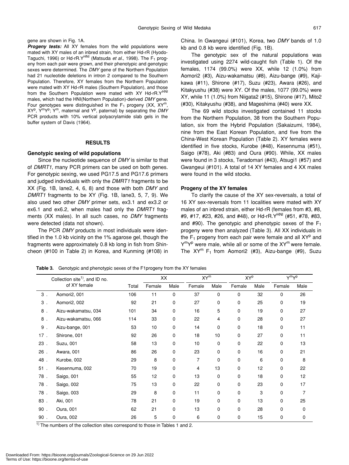gene are shown in Fig. 1A.

**Progeny tests:** All XY females from the wild populations were mated with XY males of an inbred strain, from either Hd-rR (Hyodo-Taguchi, 1996) or Hd-rR.Y<sup>HNI</sup> (Matsuda et al., 1998). The F<sub>1</sub> progeny from each pair were grown, and their phenotypic and genotypic sexes were determined. The *DMY* gene of the Northern Population had 21 nucleotide deletions in intron 2 compared to the Southern Population. Therefore, XY females from the Northern Population were mated with XY Hd-rR males (Southern Population), and those from the Southern Population were mated with XY Hd-rR.Y<sup>HNI</sup> males, which had the HNI(Northern Population)-derived *DMY* gene. Four genotypes were distinguished in the  $F_1$  progeny (XX, XY<sup>m</sup> XY<sup>p</sup>, Y<sup>m</sup>Y<sup>p</sup>; Y<sup>m</sup>, maternal and Y<sup>p</sup>, paternal) by separating the DMY PCR products with 10% vertical polyacrylamide slab gels in the buffer system of Davis (1964).

#### **RESULTS**

#### **Genotypic sexing of wild populations**

Since the nucleotide sequence of *DMY* is similar to that of *DMRT1*, many PCR primers can be used on both genes. For genotypic sexing, we used PG17.5 and PG17.6 primers and judged individuals with only the *DMRT1* fragments to be XX (Fig. 1B, lane2, 4, 6, 8) and those with both *DMY* and *DMRT1* fragments to be XY (Fig. 1B, lane3, 5, 7, 9). We also used two other *DMY* primer sets, ex3.1 and ex3.2 or ex6.1 and ex6.2, when males had only the *DMRT1* fragments (XX males). In all such cases, no *DMY* fragments were detected (data not shown).

The PCR *DMY* products in most individuals were identified in the 1.0 kb vicinity on the 1% agarose gel, though the fragments were approximately 0.8 kb long in fish from Shincheon (#100 in Table 2) in Korea, and Kunming (#108) in China. In Gwangeui (#101), Korea, two *DMY* bands of 1.0 kb and 0.8 kb were identified (Fig. 1B).

The genotypic sex of the natural populations was investigated using 2274 wild-caught fish (Table 1). Of the females, 1174 (99.0%) were XX, while 12 (1.0%) from Aomori2 (#3), Aizu-wakamatsu (#8), Aizu-bange (#9), Kajikawa (#11), Shirone (#17), Suzu (#23), Awara (#26), and Kitakyushu (#38) were XY. Of the males, 1077 (99.0%) were XY, while 11 (1.0%) from Niigata2 (#15), Shirone (#17), Mito2 (#30), Kitakyushu (#38), and Mageshima (#40) were XX.

The 69 wild stocks investigated contained 11 stocks from the Northern Population, 38 from the Southern Population, six from the Hybrid Population (Sakaizumi, 1984), nine from the East Korean Population, and five from the China-West Korean Population (Table 2). XY females were identified in five stocks, Kurobe (#48), Kesennuma (#51), Saigo (#78), Aki (#83) and Oura (#90). While, XX males were found in 3 stocks, Teradomari (#43), Atsugi1 (#57) and Gwangeui (#101). A total of 14 XY females and 4 XX males were found in the wild stocks.

#### **Progeny of the XY females**

To clarify the cause of the XY sex-reversals, a total of 16 XY sex-reversals from 11 localities were mated with XY males of an inbred strain, either Hd-rR (females from #3, #8, #9, #17, #23, #26, and #48), or Hd-rR. Y<sup>HNI</sup> (#51, #78, #83, and #90). The genotypic and phenotypic sexes of the  $F_1$ progeny were then analyzed (Table 3). All XX individuals in the  $F_1$  progeny from each pair were female and all  $XY^p$  and Y<sup>m</sup>Y<sup>p</sup> were male, while all or some of the XY<sup>m</sup> were female. The  $XY^m$  F<sub>1</sub> from Aomori2 (#3), Aizu-bange (#9), Suzu

**Table 3.** Genotypic and phenotypic sexes of the F1progeny from the XY females

| Collection site <sup>1)</sup> , and ID no. |                                                                                                             |     | XX     |      | $XY^m$ |      | <b>XYP</b> |      | Y <sup>m</sup> Y <sup>p</sup> |      |
|--------------------------------------------|-------------------------------------------------------------------------------------------------------------|-----|--------|------|--------|------|------------|------|-------------------------------|------|
|                                            | of XY female                                                                                                |     | Female | Male | Female | Male | Female     | Male | Female                        | Male |
| $3$ .                                      | Aomori2, 001                                                                                                | 106 | 11     | 0    | 37     | 0    | 0          | 32   | 0                             | 26   |
| $3$ .                                      | Aomori2, 002                                                                                                | 92  | 21     | 0    | 27     | 0    | 0          | 25   | 0                             | 19   |
| 8.                                         | Aizu-wakamatsu, 034                                                                                         | 101 | 34     | 0    | 16     | 5    | 0          | 19   | 0                             | 27   |
| 8.                                         | Aizu-wakamatsu, 066                                                                                         | 114 | 33     | 0    | 22     | 4    | 0          | 28   | 0                             | 27   |
| 9.                                         | Aizu-bange, 001                                                                                             | 53  | 10     | 0    | 14     | 0    | 0          | 18   | 0                             | 11   |
| 17.                                        | Shirone, 001                                                                                                | 92  | 26     | 0    | 18     | 10   | 0          | 27   | 0                             | 11   |
| 23.                                        | Suzu, 001                                                                                                   | 58  | 13     | 0    | 10     | 0    | 0          | 22   | 0                             | 13   |
| $26$ .                                     | Awara, 001                                                                                                  | 86  | 26     | 0    | 23     | 0    | 0          | 16   | 0                             | 21   |
| 48.                                        | Kurobe, 002                                                                                                 | 29  | 8      | 0    | 7      | 0    | 0          | 6    | 0                             | 8    |
| $51$ .                                     | Kesennuma, 002                                                                                              | 70  | 19     | 0    | 4      | 13   | 0          | 12   | 0                             | 22   |
| 78.                                        | Saigo, 001                                                                                                  | 55  | 12     | 0    | 13     | 0    | 0          | 18   | 0                             | 12   |
| 78.                                        | Saigo, 002                                                                                                  | 75  | 13     | 0    | 22     | 0    | 0          | 23   | 0                             | 17   |
| 78.                                        | Saigo, 003                                                                                                  | 29  | 8      | 0    | 11     | 0    | 0          | 3    | 0                             | 7    |
| 83.                                        | Aki, 001                                                                                                    | 78  | 21     | 0    | 19     | 0    | 0          | 13   | 0                             | 25   |
| $90$ .                                     | Oura, 001                                                                                                   | 62  | 21     | 0    | 13     | 0    | 0          | 28   | 0                             | 0    |
| $90$ .                                     | Oura, 002                                                                                                   | 26  | 5      | 0    | 6      | 0    | 0          | 15   | 0                             | 0    |
| $1) + 1$                                   | المستحل والمستحلف والمستحيل والمتلاو والمستحل والمحارب<br>the state also show the The letters of the state. |     |        |      |        |      |            |      |                               |      |

1) The numbers of the collection sites correspond to those in Tables 1 and 2.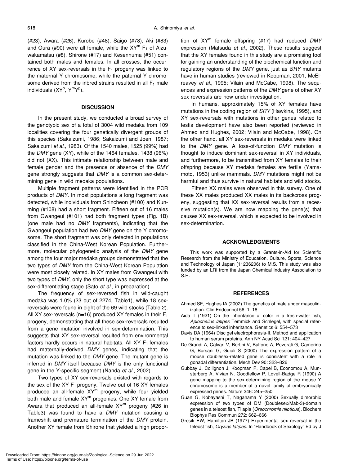(#23), Awara (#26), Kurobe (#48), Saigo (#78), Aki (#83) and Oura (#90) were all female, while the  $XY^m$  F<sub>1</sub> of Aizuwakamatsu (#8), Shirone (#17) and Kesennuma (#51) contained both males and females. In all crosses, the occurrence of XY sex-reversals in the  $F_1$  progeny was linked to the maternal Y chromosome, while the paternal Y chromosome derived from the inbred strains resulted in all  $F_1$  male individuals (XY<sup>p</sup>, Y<sup>m</sup>Y<sup>p</sup>).

#### **DISCUSSION**

In the present study, we conducted a broad survey of the genotypic sex of a total of 3004 wild medaka from 109 localities covering the four genetically divergent groups of this species (Sakaizumi, 1986; Sakaizumi and Joen, 1987; Sakaizumi *et al*., 1983). Of the 1540 males, 1525 (99%) had the *DMY* gene (XY), while of the 1464 females, 1438 (96%) did not (XX). This intimate relationship between male and female gender and the presence or absence of the *DMY* gene strongly suggests that *DMY* is a common sex-determining gene in wild medaka populations.

Multiple fragment patterns were identified in the PCR products of *DMY*. In most populations a long fragment was detected, while individuals from Shincheon (#100) and Kunming (#108) had a short fragment. Fifteen out of 16 males from Gwangeui (#101) had both fragment types (Fig. 1B) (one male had no *DMY* fragments), indicating that the Gwangeui population had two *DMY* gene on the Y chromosome. The short fragment was only detected in populations classified in the China-West Korean Population. Furthermore, molecular phylogenetic analysis of the *DMY* gene among the four major medaka groups demonstrated that the two types of *DMY* from the China-West Korean Population were most closely related. In XY males from Gwangeui with two types of *DMY*, only the short type was expressed at the sex-differentiating stage (Sato *et al*., in preparation).

The frequency of sex-reversed fish in wild-caught medaka was 1.0% (23 out of 2274, Table1), while 18 sexreversals were found in eight of the 69 wild stocks (Table 2). All XY sex-reversals ( $n=16$ ) produced XY females in their  $F_1$ progeny, demonstrating that all these sex-reversals resulted from a gene mutation involved in sex-determination. This suggests that XY sex-reversal resulted from environmental factors hardly occurs in natural habitats. All XY  $F_1$  females had maternally-derived *DMY* genes, indicating that the mutation was linked to the *DMY* gene. The mutant gene is inferred in *DMY* itself because *DMY* is the only functional gene in the Y-specific segment (Nanda *et al*., 2002).

Two types of XY sex-reversals existed with regards to the sex of the XY  $F_1$  progeny. Twelve out of 16 XY females produced an all-female XY<sup>m</sup> progeny, while four yielded both male and female  $XY^m$  progenies. One XY female from Awara that produced an all-female  $XY^m$  progeny (#26 in Table3) was found to have a *DMY* mutation causing a frameshift and premature termination of the *DMY* protein. Another XY female from Shirone that yielded a high proportion of XYm female offspring (#17) had reduced *DMY* expression (Matsuda *et al*., 2002). These results suggest that the XY females found in this study are a promising tool for gaining an understanding of the biochemical function and regulatory regions of the *DMY* gene, just as *SRY* mutants have in human studies (reviewed in Koopman, 2001; McElreavey *et al*., 1995; Vilain and McCabe, 1998). The sequences and expression patterns of the *DMY* gene of other XY sex-reversals are now under investigation.

In humans, approximately 15% of XY females have mutations in the coding region of *SRY* (Hawkins, 1995), and XY sex-reversals with mutations in other genes related to testis development have also been reported (reviewed in Ahmed and Hughes, 2002; Vilain and McCabe, 1998). On the other hand, all XY sex-reversals in medaka were linked to the *DMY* gene. A loss-of-function *DMY* mutation is thought to induce dominant sex-reversal in XY individuals, and furthermore, to be transmitted from XY females to their offspring because XY medaka females are fertile (Yamamoto, 1953) unlike mammals. *DMY* mutations might not be harmful and thus survive in natural habitats and wild stocks.

Fifteen XX males were observed in this survey. One of these XX males produced XX males in its backcross progeny, suggesting that XX sex-reversal results from a recessive mutation(s). We are now mapping the gene(s) that causes XX sex-reversal, which is expected to be involved in sex-determination.

## **ACKNOWLEDGMENTS**

This work was supported by a Grants-in-Aid for Scientific Research from the Ministry of Education, Culture, Sports, Science and Technology of Japan (11236206) to M.S. This study was also funded by an LRI from the Japan Chemical Industry Association to S.H.

#### **REFERENCES**

- Ahmed SF, Hughes IA (2002) The genetics of male under masculinization. Clin Endocrinol 56: 1–18
- Aida T (1921) On the inheritance of color in a fresh-water fish, *Aplocheilus latipes* Temmick and Schlegel, with special reference to sex-linked inheritance. Genetics 6: 554–573
- Davis DA (1964) Disc gel electrophoresis-II. Method and application to human serum proteins. Ann NY Acad Sci 121: 404–427
- De Grandi A, Calvari V, Bertini V, Bulfone A, Peverali G, Camerino G, Borsani G, Guioli S (2000) The expression pattern of a mouse doublesex-related gene is consistent with a role in gonadal differentiation. Mech Dev 90: 323–326
- Gubbay J, Collignon J, Koopman P, Capel B, Economou A, Munsterberg A, Vivian N, Goodfellow P, Lovell-Badge R (1990) A gene mapping to the sex-determining region of the mouse Y chromosome is a member of a novel family of embryonically expressed genes. Nature 346: 245–250
- Guan G, Kobayashi T, Nagahama Y (2000) Sexually dimorphic expression of two types of DM (Doublesex/Mab-3)-domain genes in a teleost fish, Tilapia (*Oreochromis niloticus*). Biochem Biophys Res Commun 272: 662–666
- Gresik EW, Hamilton JB (1977) Experimental sex reversal in the teleost fish, *Oryzias latipes*. In "Handbook of Sexology" Ed by J